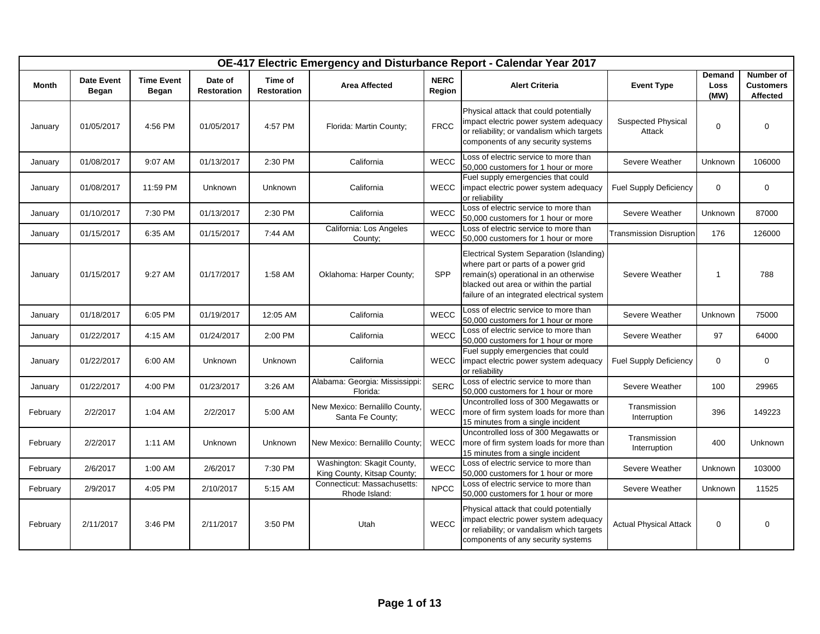|              |                            |                            |                               |                               |                                                           |                       | OE-417 Electric Emergency and Disturbance Report - Calendar Year 2017                                                                                                                                            |                                     |                        |                                           |
|--------------|----------------------------|----------------------------|-------------------------------|-------------------------------|-----------------------------------------------------------|-----------------------|------------------------------------------------------------------------------------------------------------------------------------------------------------------------------------------------------------------|-------------------------------------|------------------------|-------------------------------------------|
| <b>Month</b> | <b>Date Event</b><br>Began | <b>Time Event</b><br>Began | Date of<br><b>Restoration</b> | Time of<br><b>Restoration</b> | <b>Area Affected</b>                                      | <b>NERC</b><br>Region | <b>Alert Criteria</b>                                                                                                                                                                                            | <b>Event Type</b>                   | Demand<br>Loss<br>(MW) | Number of<br><b>Customers</b><br>Affected |
| January      | 01/05/2017                 | 4:56 PM                    | 01/05/2017                    | 4:57 PM                       | Florida: Martin County;                                   | <b>FRCC</b>           | Physical attack that could potentially<br>impact electric power system adequacy<br>or reliability; or vandalism which targets<br>components of any security systems                                              | <b>Suspected Physical</b><br>Attack | $\mathbf 0$            | $\mathbf 0$                               |
| January      | 01/08/2017                 | 9:07 AM                    | 01/13/2017                    | 2:30 PM                       | California                                                | WECC                  | Loss of electric service to more than<br>50,000 customers for 1 hour or more                                                                                                                                     | Severe Weather                      | Unknown                | 106000                                    |
| January      | 01/08/2017                 | 11:59 PM                   | Unknown                       | Unknown                       | California                                                | <b>WECC</b>           | Fuel supply emergencies that could<br>impact electric power system adequacy<br>or reliability                                                                                                                    | <b>Fuel Supply Deficiency</b>       | $\mathbf 0$            | $\mathbf 0$                               |
| January      | 01/10/2017                 | 7:30 PM                    | 01/13/2017                    | 2:30 PM                       | California                                                | WECC                  | Loss of electric service to more than<br>50,000 customers for 1 hour or more                                                                                                                                     | Severe Weather                      | Unknown                | 87000                                     |
| January      | 01/15/2017                 | 6:35 AM                    | 01/15/2017                    | 7:44 AM                       | California: Los Angeles<br>County;                        | WECC                  | Loss of electric service to more than<br>50,000 customers for 1 hour or more                                                                                                                                     | <b>Fransmission Disruption</b>      | 176                    | 126000                                    |
| January      | 01/15/2017                 | 9:27 AM                    | 01/17/2017                    | 1:58 AM                       | Oklahoma: Harper County;                                  | <b>SPP</b>            | Electrical System Separation (Islanding)<br>where part or parts of a power grid<br>remain(s) operational in an otherwise<br>blacked out area or within the partial<br>failure of an integrated electrical system | Severe Weather                      | $\mathbf{1}$           | 788                                       |
| January      | 01/18/2017                 | 6:05 PM                    | 01/19/2017                    | 12:05 AM                      | California                                                | WECC                  | Loss of electric service to more than<br>50,000 customers for 1 hour or more                                                                                                                                     | Severe Weather                      | Unknown                | 75000                                     |
| January      | 01/22/2017                 | 4:15 AM                    | 01/24/2017                    | 2:00 PM                       | California                                                | <b>WECC</b>           | Loss of electric service to more than<br>50,000 customers for 1 hour or more                                                                                                                                     | Severe Weather                      | 97                     | 64000                                     |
| January      | 01/22/2017                 | 6:00 AM                    | Unknown                       | <b>Unknown</b>                | California                                                | WECC                  | Fuel supply emergencies that could<br>impact electric power system adequacy<br>or reliability                                                                                                                    | <b>Fuel Supply Deficiency</b>       | $\mathbf 0$            | $\mathbf 0$                               |
| January      | 01/22/2017                 | 4:00 PM                    | 01/23/2017                    | 3:26 AM                       | Alabama: Georgia: Mississippi:<br>Florida:                | <b>SERC</b>           | Loss of electric service to more than<br>50,000 customers for 1 hour or more                                                                                                                                     | Severe Weather                      | 100                    | 29965                                     |
| February     | 2/2/2017                   | 1:04 AM                    | 2/2/2017                      | 5:00 AM                       | New Mexico: Bernalillo County,<br>Santa Fe County;        | <b>WECC</b>           | Uncontrolled loss of 300 Megawatts or<br>more of firm system loads for more than<br>15 minutes from a single incident                                                                                            | Transmission<br>Interruption        | 396                    | 149223                                    |
| February     | 2/2/2017                   | 1:11 AM                    | Unknown                       | Unknown                       | New Mexico: Bernalillo County;                            | <b>WECC</b>           | Uncontrolled loss of 300 Megawatts or<br>more of firm system loads for more than<br>15 minutes from a single incident                                                                                            | Transmission<br>Interruption        | 400                    | Unknown                                   |
| February     | 2/6/2017                   | 1:00 AM                    | 2/6/2017                      | 7:30 PM                       | Washington: Skagit County,<br>King County, Kitsap County; | WECC                  | Loss of electric service to more than<br>50,000 customers for 1 hour or more                                                                                                                                     | Severe Weather                      | Unknown                | 103000                                    |
| February     | 2/9/2017                   | 4:05 PM                    | 2/10/2017                     | 5:15 AM                       | Connecticut: Massachusetts:<br>Rhode Island:              | <b>NPCC</b>           | Loss of electric service to more than<br>50,000 customers for 1 hour or more                                                                                                                                     | Severe Weather                      | Unknown                | 11525                                     |
| February     | 2/11/2017                  | 3:46 PM                    | 2/11/2017                     | 3:50 PM                       | Utah                                                      | WECC                  | Physical attack that could potentially<br>impact electric power system adequacy<br>or reliability; or vandalism which targets<br>components of any security systems                                              | <b>Actual Physical Attack</b>       | $\mathbf 0$            | $\mathbf 0$                               |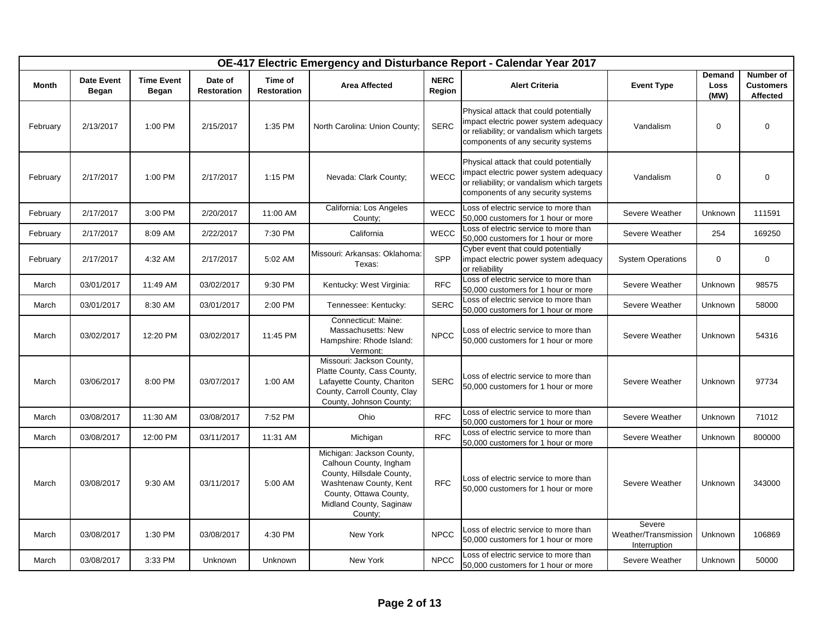|              |                            |                            |                               |                               |                                                                                                                                                                            |                       | OE-417 Electric Emergency and Disturbance Report - Calendar Year 2017                                                                                               |                                                |                        |                                           |
|--------------|----------------------------|----------------------------|-------------------------------|-------------------------------|----------------------------------------------------------------------------------------------------------------------------------------------------------------------------|-----------------------|---------------------------------------------------------------------------------------------------------------------------------------------------------------------|------------------------------------------------|------------------------|-------------------------------------------|
| <b>Month</b> | <b>Date Event</b><br>Began | <b>Time Event</b><br>Began | Date of<br><b>Restoration</b> | Time of<br><b>Restoration</b> | <b>Area Affected</b>                                                                                                                                                       | <b>NERC</b><br>Region | <b>Alert Criteria</b>                                                                                                                                               | <b>Event Type</b>                              | Demand<br>Loss<br>(MW) | Number of<br><b>Customers</b><br>Affected |
| February     | 2/13/2017                  | 1:00 PM                    | 2/15/2017                     | 1:35 PM                       | North Carolina: Union County;                                                                                                                                              | <b>SERC</b>           | Physical attack that could potentially<br>impact electric power system adequacy<br>or reliability; or vandalism which targets<br>components of any security systems | Vandalism                                      | $\mathbf{0}$           | $\mathbf 0$                               |
| February     | 2/17/2017                  | 1:00 PM                    | 2/17/2017                     | 1:15 PM                       | Nevada: Clark County;                                                                                                                                                      | <b>WECC</b>           | Physical attack that could potentially<br>impact electric power system adequacy<br>or reliability; or vandalism which targets<br>components of any security systems | Vandalism                                      | 0                      | $\mathbf 0$                               |
| February     | 2/17/2017                  | 3:00 PM                    | 2/20/2017                     | 11:00 AM                      | California: Los Angeles<br>County;                                                                                                                                         | <b>WECC</b>           | Loss of electric service to more than<br>50,000 customers for 1 hour or more                                                                                        | Severe Weather                                 | Unknown                | 111591                                    |
| February     | 2/17/2017                  | 8:09 AM                    | 2/22/2017                     | 7:30 PM                       | California                                                                                                                                                                 | <b>WECC</b>           | Loss of electric service to more than<br>50,000 customers for 1 hour or more                                                                                        | Severe Weather                                 | 254                    | 169250                                    |
| February     | 2/17/2017                  | 4:32 AM                    | 2/17/2017                     | 5:02 AM                       | Missouri: Arkansas: Oklahoma:<br>Texas:                                                                                                                                    | SPP                   | Cyber event that could potentially<br>impact electric power system adequacy<br>or reliability                                                                       | <b>System Operations</b>                       | $\mathbf 0$            | $\mathbf 0$                               |
| March        | 03/01/2017                 | 11:49 AM                   | 03/02/2017                    | 9:30 PM                       | Kentucky: West Virginia:                                                                                                                                                   | <b>RFC</b>            | Loss of electric service to more than<br>50,000 customers for 1 hour or more                                                                                        | Severe Weather                                 | Unknown                | 98575                                     |
| March        | 03/01/2017                 | 8:30 AM                    | 03/01/2017                    | 2:00 PM                       | Tennessee: Kentucky:                                                                                                                                                       | <b>SERC</b>           | Loss of electric service to more than<br>50,000 customers for 1 hour or more                                                                                        | Severe Weather                                 | Unknown                | 58000                                     |
| March        | 03/02/2017                 | 12:20 PM                   | 03/02/2017                    | 11:45 PM                      | Connecticut: Maine:<br>Massachusetts: New<br>Hampshire: Rhode Island:<br>Vermont:                                                                                          | <b>NPCC</b>           | Loss of electric service to more than<br>50,000 customers for 1 hour or more                                                                                        | Severe Weather                                 | Unknown                | 54316                                     |
| March        | 03/06/2017                 | 8:00 PM                    | 03/07/2017                    | 1:00 AM                       | Missouri: Jackson County,<br>Platte County, Cass County,<br>Lafayette County, Chariton<br>County, Carroll County, Clay<br>County, Johnson County;                          | <b>SERC</b>           | Loss of electric service to more than<br>50,000 customers for 1 hour or more                                                                                        | Severe Weather                                 | Unknown                | 97734                                     |
| March        | 03/08/2017                 | 11:30 AM                   | 03/08/2017                    | 7:52 PM                       | Ohio                                                                                                                                                                       | <b>RFC</b>            | Loss of electric service to more than<br>50,000 customers for 1 hour or more                                                                                        | Severe Weather                                 | Unknown                | 71012                                     |
| March        | 03/08/2017                 | 12:00 PM                   | 03/11/2017                    | 11:31 AM                      | Michigan                                                                                                                                                                   | <b>RFC</b>            | Loss of electric service to more than<br>50,000 customers for 1 hour or more                                                                                        | Severe Weather                                 | Unknown                | 800000                                    |
| March        | 03/08/2017                 | 9:30 AM                    | 03/11/2017                    | 5:00 AM                       | Michigan: Jackson County,<br>Calhoun County, Ingham<br>County, Hillsdale County,<br>Washtenaw County, Kent<br>County, Ottawa County,<br>Midland County, Saginaw<br>County; | <b>RFC</b>            | Loss of electric service to more than<br>50,000 customers for 1 hour or more                                                                                        | Severe Weather                                 | Unknown                | 343000                                    |
| March        | 03/08/2017                 | 1:30 PM                    | 03/08/2017                    | 4:30 PM                       | New York                                                                                                                                                                   | <b>NPCC</b>           | Loss of electric service to more than<br>50,000 customers for 1 hour or more                                                                                        | Severe<br>Weather/Transmission<br>Interruption | Unknown                | 106869                                    |
| March        | 03/08/2017                 | 3:33 PM                    | Unknown                       | Unknown                       | New York                                                                                                                                                                   | <b>NPCC</b>           | Loss of electric service to more than<br>50,000 customers for 1 hour or more                                                                                        | Severe Weather                                 | Unknown                | 50000                                     |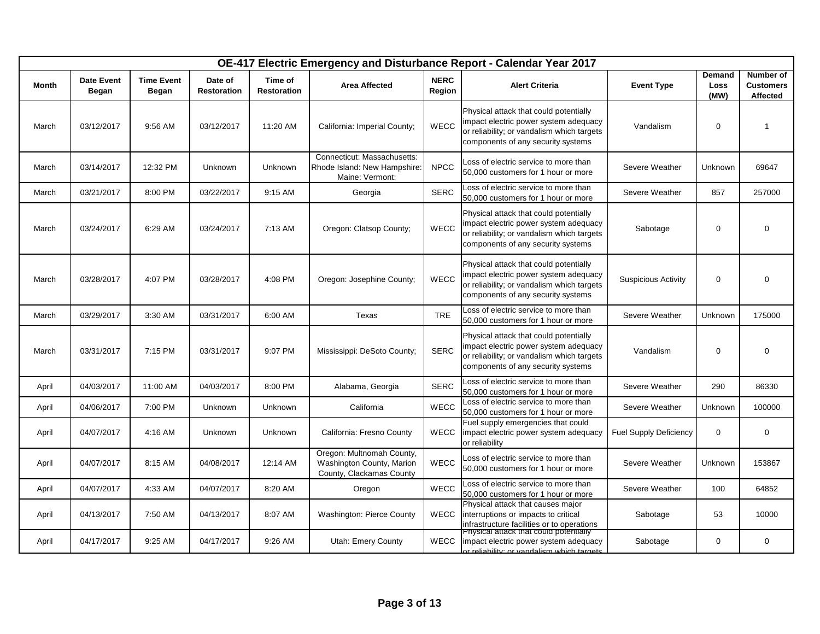|              |                            |                            |                               |                               |                                                                                    |                       | OE-417 Electric Emergency and Disturbance Report - Calendar Year 2017                                                                                               |                               |                        |                                           |
|--------------|----------------------------|----------------------------|-------------------------------|-------------------------------|------------------------------------------------------------------------------------|-----------------------|---------------------------------------------------------------------------------------------------------------------------------------------------------------------|-------------------------------|------------------------|-------------------------------------------|
| <b>Month</b> | <b>Date Event</b><br>Began | <b>Time Event</b><br>Began | Date of<br><b>Restoration</b> | Time of<br><b>Restoration</b> | <b>Area Affected</b>                                                               | <b>NERC</b><br>Region | <b>Alert Criteria</b>                                                                                                                                               | <b>Event Type</b>             | Demand<br>Loss<br>(MW) | Number of<br><b>Customers</b><br>Affected |
| March        | 03/12/2017                 | 9:56 AM                    | 03/12/2017                    | 11:20 AM                      | California: Imperial County;                                                       | <b>WECC</b>           | Physical attack that could potentially<br>impact electric power system adequacy<br>or reliability; or vandalism which targets<br>components of any security systems | Vandalism                     | $\Omega$               | 1                                         |
| March        | 03/14/2017                 | 12:32 PM                   | Unknown                       | Unknown                       | Connecticut: Massachusetts:<br>Rhode Island: New Hampshire:<br>Maine: Vermont:     | <b>NPCC</b>           | Loss of electric service to more than<br>50,000 customers for 1 hour or more                                                                                        | Severe Weather                | Unknown                | 69647                                     |
| March        | 03/21/2017                 | 8:00 PM                    | 03/22/2017                    | 9:15 AM                       | Georgia                                                                            | <b>SERC</b>           | oss of electric service to more than<br>50,000 customers for 1 hour or more                                                                                         | Severe Weather                | 857                    | 257000                                    |
| March        | 03/24/2017                 | 6:29 AM                    | 03/24/2017                    | 7:13 AM                       | Oregon: Clatsop County;                                                            | <b>WECC</b>           | Physical attack that could potentially<br>impact electric power system adequacy<br>or reliability; or vandalism which targets<br>components of any security systems | Sabotage                      | $\Omega$               | 0                                         |
| March        | 03/28/2017                 | 4:07 PM                    | 03/28/2017                    | 4:08 PM                       | Oregon: Josephine County;                                                          | <b>WECC</b>           | Physical attack that could potentially<br>impact electric power system adequacy<br>or reliability; or vandalism which targets<br>components of any security systems | <b>Suspicious Activity</b>    | $\Omega$               | 0                                         |
| March        | 03/29/2017                 | 3:30 AM                    | 03/31/2017                    | 6:00 AM                       | Texas                                                                              | <b>TRE</b>            | Loss of electric service to more than<br>50,000 customers for 1 hour or more                                                                                        | Severe Weather                | Unknown                | 175000                                    |
| March        | 03/31/2017                 | 7:15 PM                    | 03/31/2017                    | 9:07 PM                       | Mississippi: DeSoto County;                                                        | <b>SERC</b>           | Physical attack that could potentially<br>impact electric power system adequacy<br>or reliability; or vandalism which targets<br>components of any security systems | Vandalism                     | $\mathbf 0$            | 0                                         |
| April        | 04/03/2017                 | 11:00 AM                   | 04/03/2017                    | 8:00 PM                       | Alabama, Georgia                                                                   | <b>SERC</b>           | Loss of electric service to more than<br>50,000 customers for 1 hour or more                                                                                        | Severe Weather                | 290                    | 86330                                     |
| April        | 04/06/2017                 | 7:00 PM                    | Unknown                       | Unknown                       | California                                                                         | <b>WECC</b>           | Loss of electric service to more than<br>50,000 customers for 1 hour or more                                                                                        | Severe Weather                | Unknown                | 100000                                    |
| April        | 04/07/2017                 | 4:16 AM                    | <b>Unknown</b>                | Unknown                       | California: Fresno County                                                          | <b>WECC</b>           | Fuel supply emergencies that could<br>impact electric power system adequacy<br>or reliability                                                                       | <b>Fuel Supply Deficiency</b> | $\mathbf 0$            | $\mathbf 0$                               |
| April        | 04/07/2017                 | 8:15 AM                    | 04/08/2017                    | 12:14 AM                      | Oregon: Multnomah County,<br>Washington County, Marion<br>County, Clackamas County | <b>WECC</b>           | Loss of electric service to more than<br>50,000 customers for 1 hour or more                                                                                        | Severe Weather                | Unknown                | 153867                                    |
| April        | 04/07/2017                 | 4:33 AM                    | 04/07/2017                    | 8:20 AM                       | Oregon                                                                             | <b>WECC</b>           | Loss of electric service to more than<br>50,000 customers for 1 hour or more                                                                                        | Severe Weather                | 100                    | 64852                                     |
| April        | 04/13/2017                 | 7:50 AM                    | 04/13/2017                    | 8:07 AM                       | Washington: Pierce County                                                          | <b>WECC</b>           | Physical attack that causes major<br>interruptions or impacts to critical<br>infrastructure facilities or to operations                                             | Sabotage                      | 53                     | 10000                                     |
| April        | 04/17/2017                 | 9:25 AM                    | 04/17/2017                    | 9:26 AM                       | Utah: Emery County                                                                 | <b>WECC</b>           | -nysical attack that could potentially<br>impact electric power system adequacy<br>er relighility: or vandalism which targets                                       | Sabotage                      | 0                      | $\mathbf 0$                               |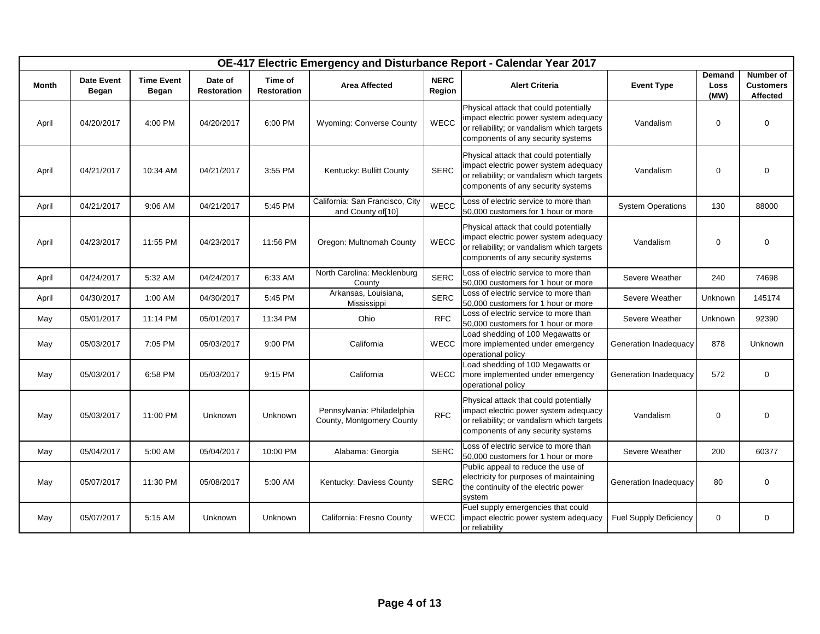|       |                                   |                                   |                               |                               |                                                         |                       | OE-417 Electric Emergency and Disturbance Report - Calendar Year 2017                                                                                               |                               |                        |                                           |
|-------|-----------------------------------|-----------------------------------|-------------------------------|-------------------------------|---------------------------------------------------------|-----------------------|---------------------------------------------------------------------------------------------------------------------------------------------------------------------|-------------------------------|------------------------|-------------------------------------------|
| Month | <b>Date Event</b><br><b>Began</b> | <b>Time Event</b><br><b>Began</b> | Date of<br><b>Restoration</b> | Time of<br><b>Restoration</b> | <b>Area Affected</b>                                    | <b>NERC</b><br>Region | <b>Alert Criteria</b>                                                                                                                                               | <b>Event Type</b>             | Demand<br>Loss<br>(MW) | Number of<br><b>Customers</b><br>Affected |
| April | 04/20/2017                        | 4:00 PM                           | 04/20/2017                    | 6:00 PM                       | <b>Wyoming: Converse County</b>                         | <b>WECC</b>           | Physical attack that could potentially<br>impact electric power system adequacy<br>or reliability; or vandalism which targets<br>components of any security systems | Vandalism                     | $\mathbf 0$            | $\mathbf 0$                               |
| April | 04/21/2017                        | 10:34 AM                          | 04/21/2017                    | 3:55 PM                       | Kentucky: Bullitt County                                | <b>SERC</b>           | Physical attack that could potentially<br>impact electric power system adequacy<br>or reliability; or vandalism which targets<br>components of any security systems | Vandalism                     | 0                      | $\mathbf 0$                               |
| April | 04/21/2017                        | 9:06 AM                           | 04/21/2017                    | 5:45 PM                       | California: San Francisco, City<br>and County of[10]    | WECC                  | Loss of electric service to more than<br>50,000 customers for 1 hour or more                                                                                        | <b>System Operations</b>      | 130                    | 88000                                     |
| April | 04/23/2017                        | 11:55 PM                          | 04/23/2017                    | 11:56 PM                      | Oregon: Multnomah County                                | WECC                  | Physical attack that could potentially<br>impact electric power system adequacy<br>or reliability; or vandalism which targets<br>components of any security systems | Vandalism                     | $\mathbf 0$            | $\mathbf 0$                               |
| April | 04/24/2017                        | 5:32 AM                           | 04/24/2017                    | 6:33 AM                       | North Carolina: Mecklenburg<br>County                   | <b>SERC</b>           | Loss of electric service to more than<br>50,000 customers for 1 hour or more                                                                                        | Severe Weather                | 240                    | 74698                                     |
| April | 04/30/2017                        | 1:00 AM                           | 04/30/2017                    | 5:45 PM                       | Arkansas, Louisiana,<br>Mississippi                     | <b>SERC</b>           | Loss of electric service to more than<br>50,000 customers for 1 hour or more                                                                                        | Severe Weather                | Unknown                | 145174                                    |
| May   | 05/01/2017                        | 11:14 PM                          | 05/01/2017                    | 11:34 PM                      | Ohio                                                    | <b>RFC</b>            | Loss of electric service to more than<br>50,000 customers for 1 hour or more                                                                                        | Severe Weather                | Unknown                | 92390                                     |
| May   | 05/03/2017                        | 7:05 PM                           | 05/03/2017                    | 9:00 PM                       | California                                              | <b>WECC</b>           | Load shedding of 100 Megawatts or<br>more implemented under emergency<br>operational policy                                                                         | Generation Inadequacy         | 878                    | Unknown                                   |
| May   | 05/03/2017                        | 6:58 PM                           | 05/03/2017                    | 9:15 PM                       | California                                              | <b>WECC</b>           | Load shedding of 100 Megawatts or<br>more implemented under emergency<br>operational policy                                                                         | Generation Inadequacy         | 572                    | $\mathbf 0$                               |
| May   | 05/03/2017                        | 11:00 PM                          | Unknown                       | Unknown                       | Pennsylvania: Philadelphia<br>County, Montgomery County | <b>RFC</b>            | Physical attack that could potentially<br>impact electric power system adequacy<br>or reliability; or vandalism which targets<br>components of any security systems | Vandalism                     | $\mathbf 0$            | $\mathbf 0$                               |
| May   | 05/04/2017                        | 5:00 AM                           | 05/04/2017                    | 10:00 PM                      | Alabama: Georgia                                        | <b>SERC</b>           | Loss of electric service to more than<br>50,000 customers for 1 hour or more                                                                                        | Severe Weather                | 200                    | 60377                                     |
| May   | 05/07/2017                        | 11:30 PM                          | 05/08/2017                    | 5:00 AM                       | Kentucky: Daviess County                                | <b>SERC</b>           | Public appeal to reduce the use of<br>electricity for purposes of maintaining<br>the continuity of the electric power<br>system                                     | Generation Inadequacy         | 80                     | $\mathbf 0$                               |
| May   | 05/07/2017                        | 5:15 AM                           | Unknown                       | Unknown                       | California: Fresno County                               | <b>WECC</b>           | Fuel supply emergencies that could<br>impact electric power system adequacy<br>or reliability                                                                       | <b>Fuel Supply Deficiency</b> | $\mathbf 0$            | $\mathbf 0$                               |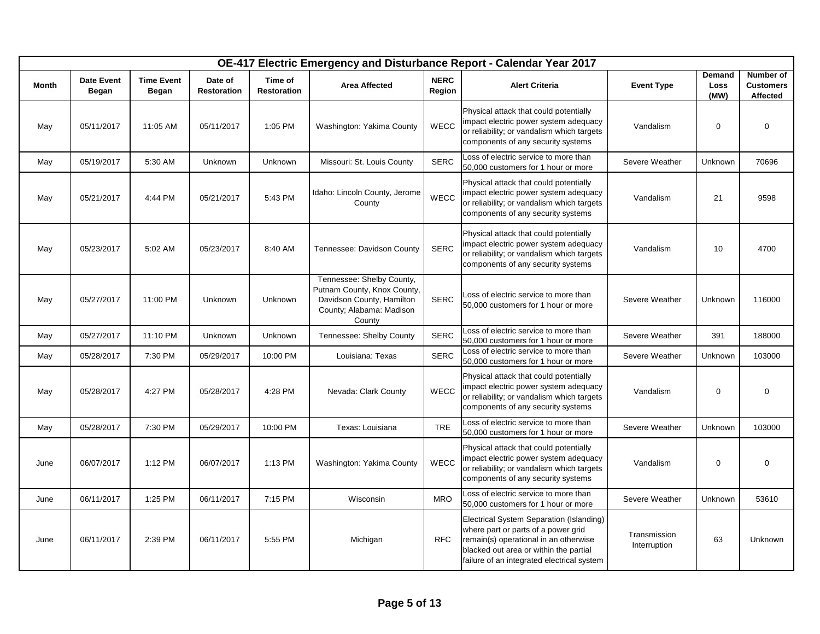|              |                            |                            |                               |                               |                                                                                                                             |                       | OE-417 Electric Emergency and Disturbance Report - Calendar Year 2017                                                                                                                                            |                              |                               |                                           |
|--------------|----------------------------|----------------------------|-------------------------------|-------------------------------|-----------------------------------------------------------------------------------------------------------------------------|-----------------------|------------------------------------------------------------------------------------------------------------------------------------------------------------------------------------------------------------------|------------------------------|-------------------------------|-------------------------------------------|
| <b>Month</b> | <b>Date Event</b><br>Began | <b>Time Event</b><br>Began | Date of<br><b>Restoration</b> | Time of<br><b>Restoration</b> | <b>Area Affected</b>                                                                                                        | <b>NERC</b><br>Region | <b>Alert Criteria</b>                                                                                                                                                                                            | <b>Event Type</b>            | <b>Demand</b><br>Loss<br>(MW) | Number of<br><b>Customers</b><br>Affected |
| May          | 05/11/2017                 | 11:05 AM                   | 05/11/2017                    | 1:05 PM                       | Washington: Yakima County                                                                                                   | <b>WECC</b>           | Physical attack that could potentially<br>impact electric power system adequacy<br>or reliability; or vandalism which targets<br>components of any security systems                                              | Vandalism                    | $\mathbf 0$                   | $\mathbf 0$                               |
| May          | 05/19/2017                 | 5:30 AM                    | Unknown                       | Unknown                       | Missouri: St. Louis County                                                                                                  | <b>SERC</b>           | Loss of electric service to more than<br>50,000 customers for 1 hour or more                                                                                                                                     | Severe Weather               | Unknown                       | 70696                                     |
| May          | 05/21/2017                 | 4:44 PM                    | 05/21/2017                    | 5:43 PM                       | Idaho: Lincoln County, Jerome<br>County                                                                                     | WECC                  | Physical attack that could potentially<br>impact electric power system adequacy<br>or reliability; or vandalism which targets<br>components of any security systems                                              | Vandalism                    | 21                            | 9598                                      |
| May          | 05/23/2017                 | 5:02 AM                    | 05/23/2017                    | 8:40 AM                       | Tennessee: Davidson County                                                                                                  | <b>SERC</b>           | Physical attack that could potentially<br>impact electric power system adequacy<br>or reliability; or vandalism which targets<br>components of any security systems                                              | Vandalism                    | 10                            | 4700                                      |
| May          | 05/27/2017                 | 11:00 PM                   | Unknown                       | Unknown                       | Tennessee: Shelby County,<br>Putnam County, Knox County,<br>Davidson County, Hamilton<br>County; Alabama: Madison<br>County | <b>SERC</b>           | Loss of electric service to more than<br>50,000 customers for 1 hour or more                                                                                                                                     | Severe Weather               | Unknown                       | 116000                                    |
| May          | 05/27/2017                 | 11:10 PM                   | Unknown                       | Unknown                       | Tennessee: Shelby County                                                                                                    | <b>SERC</b>           | Loss of electric service to more than<br>50,000 customers for 1 hour or more                                                                                                                                     | Severe Weather               | 391                           | 188000                                    |
| May          | 05/28/2017                 | 7:30 PM                    | 05/29/2017                    | 10:00 PM                      | Louisiana: Texas                                                                                                            | <b>SERC</b>           | Loss of electric service to more than<br>50,000 customers for 1 hour or more                                                                                                                                     | Severe Weather               | Unknown                       | 103000                                    |
| May          | 05/28/2017                 | 4:27 PM                    | 05/28/2017                    | 4:28 PM                       | Nevada: Clark County                                                                                                        | WECC                  | Physical attack that could potentially<br>impact electric power system adequacy<br>or reliability; or vandalism which targets<br>components of any security systems                                              | Vandalism                    | $\mathbf 0$                   | $\mathbf 0$                               |
| May          | 05/28/2017                 | 7:30 PM                    | 05/29/2017                    | 10:00 PM                      | Texas: Louisiana                                                                                                            | <b>TRE</b>            | Loss of electric service to more than<br>50,000 customers for 1 hour or more                                                                                                                                     | Severe Weather               | Unknown                       | 103000                                    |
| June         | 06/07/2017                 | 1:12 PM                    | 06/07/2017                    | 1:13 PM                       | Washington: Yakima County                                                                                                   | <b>WECC</b>           | Physical attack that could potentially<br>impact electric power system adequacy<br>or reliability; or vandalism which targets<br>components of any security systems                                              | Vandalism                    | 0                             | $\mathbf 0$                               |
| June         | 06/11/2017                 | 1:25 PM                    | 06/11/2017                    | 7:15 PM                       | Wisconsin                                                                                                                   | <b>MRO</b>            | Loss of electric service to more than<br>50,000 customers for 1 hour or more                                                                                                                                     | Severe Weather               | Unknown                       | 53610                                     |
| June         | 06/11/2017                 | 2:39 PM                    | 06/11/2017                    | 5:55 PM                       | Michigan                                                                                                                    | <b>RFC</b>            | Electrical System Separation (Islanding)<br>where part or parts of a power grid<br>remain(s) operational in an otherwise<br>blacked out area or within the partial<br>failure of an integrated electrical system | Transmission<br>Interruption | 63                            | Unknown                                   |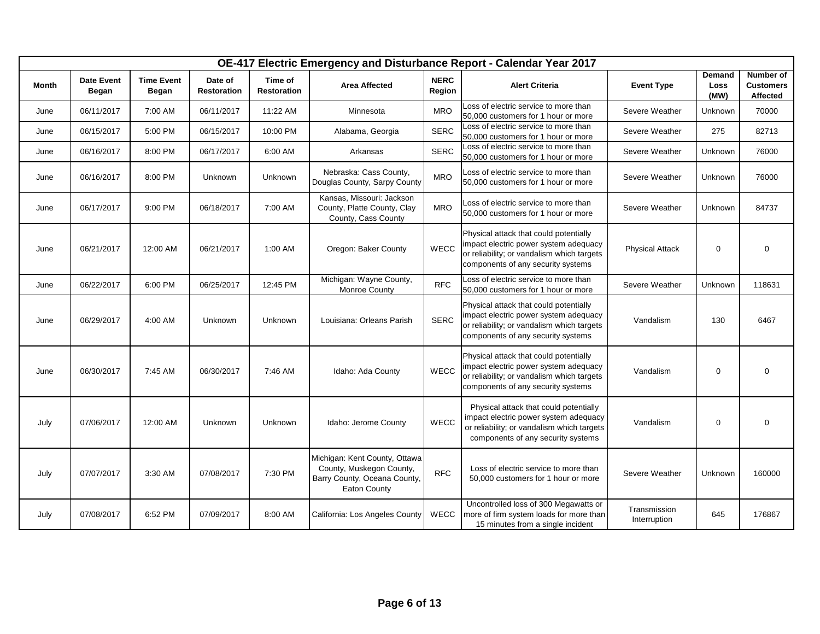|              |                            |                            |                               |                               |                                                                                                           |                       | OE-417 Electric Emergency and Disturbance Report - Calendar Year 2017                                                                                               |                              |                               |                                           |
|--------------|----------------------------|----------------------------|-------------------------------|-------------------------------|-----------------------------------------------------------------------------------------------------------|-----------------------|---------------------------------------------------------------------------------------------------------------------------------------------------------------------|------------------------------|-------------------------------|-------------------------------------------|
| <b>Month</b> | <b>Date Event</b><br>Began | <b>Time Event</b><br>Began | Date of<br><b>Restoration</b> | Time of<br><b>Restoration</b> | <b>Area Affected</b>                                                                                      | <b>NERC</b><br>Region | <b>Alert Criteria</b>                                                                                                                                               | <b>Event Type</b>            | Demand<br><b>Loss</b><br>(MW) | Number of<br><b>Customers</b><br>Affected |
| June         | 06/11/2017                 | 7:00 AM                    | 06/11/2017                    | 11:22 AM                      | Minnesota                                                                                                 | <b>MRO</b>            | Loss of electric service to more than<br>50,000 customers for 1 hour or more                                                                                        | Severe Weather               | Unknown                       | 70000                                     |
| June         | 06/15/2017                 | 5:00 PM                    | 06/15/2017                    | 10:00 PM                      | Alabama, Georgia                                                                                          | <b>SERC</b>           | Loss of electric service to more than<br>50,000 customers for 1 hour or more                                                                                        | Severe Weather               | 275                           | 82713                                     |
| June         | 06/16/2017                 | 8:00 PM                    | 06/17/2017                    | 6:00 AM                       | Arkansas                                                                                                  | <b>SERC</b>           | Loss of electric service to more than<br>50,000 customers for 1 hour or more                                                                                        | Severe Weather               | Unknown                       | 76000                                     |
| June         | 06/16/2017                 | 8:00 PM                    | Unknown                       | Unknown                       | Nebraska: Cass County,<br>Douglas County, Sarpy County                                                    | <b>MRO</b>            | Loss of electric service to more than<br>50,000 customers for 1 hour or more                                                                                        | Severe Weather               | Unknown                       | 76000                                     |
| June         | 06/17/2017                 | 9:00 PM                    | 06/18/2017                    | 7:00 AM                       | Kansas, Missouri: Jackson<br>County, Platte County, Clay<br>County, Cass County                           | <b>MRO</b>            | Loss of electric service to more than<br>50,000 customers for 1 hour or more                                                                                        | Severe Weather               | Unknown                       | 84737                                     |
| June         | 06/21/2017                 | 12:00 AM                   | 06/21/2017                    | 1:00 AM                       | Oregon: Baker County                                                                                      | <b>WECC</b>           | Physical attack that could potentially<br>impact electric power system adequacy<br>or reliability; or vandalism which targets<br>components of any security systems | <b>Physical Attack</b>       | $\mathbf 0$                   | 0                                         |
| June         | 06/22/2017                 | 6:00 PM                    | 06/25/2017                    | 12:45 PM                      | Michigan: Wayne County,<br>Monroe County                                                                  | <b>RFC</b>            | Loss of electric service to more than<br>50,000 customers for 1 hour or more                                                                                        | Severe Weather               | Unknown                       | 118631                                    |
| June         | 06/29/2017                 | 4:00 AM                    | Unknown                       | Unknown                       | Louisiana: Orleans Parish                                                                                 | <b>SERC</b>           | Physical attack that could potentially<br>impact electric power system adequacy<br>or reliability; or vandalism which targets<br>components of any security systems | Vandalism                    | 130                           | 6467                                      |
| June         | 06/30/2017                 | 7:45 AM                    | 06/30/2017                    | 7:46 AM                       | Idaho: Ada County                                                                                         | WECC                  | Physical attack that could potentially<br>impact electric power system adequacy<br>or reliability; or vandalism which targets<br>components of any security systems | Vandalism                    | $\mathbf 0$                   | $\mathbf 0$                               |
| July         | 07/06/2017                 | 12:00 AM                   | Unknown                       | Unknown                       | Idaho: Jerome County                                                                                      | WECC                  | Physical attack that could potentially<br>impact electric power system adequacy<br>or reliability; or vandalism which targets<br>components of any security systems | Vandalism                    | $\mathbf 0$                   | $\mathbf 0$                               |
| July         | 07/07/2017                 | 3:30 AM                    | 07/08/2017                    | 7:30 PM                       | Michigan: Kent County, Ottawa<br>County, Muskegon County,<br>Barry County, Oceana County,<br>Eaton County | <b>RFC</b>            | Loss of electric service to more than<br>50,000 customers for 1 hour or more                                                                                        | Severe Weather               | Unknown                       | 160000                                    |
| July         | 07/08/2017                 | 6:52 PM                    | 07/09/2017                    | 8:00 AM                       | California: Los Angeles County                                                                            | <b>WECC</b>           | Uncontrolled loss of 300 Megawatts or<br>more of firm system loads for more than<br>15 minutes from a single incident                                               | Transmission<br>Interruption | 645                           | 176867                                    |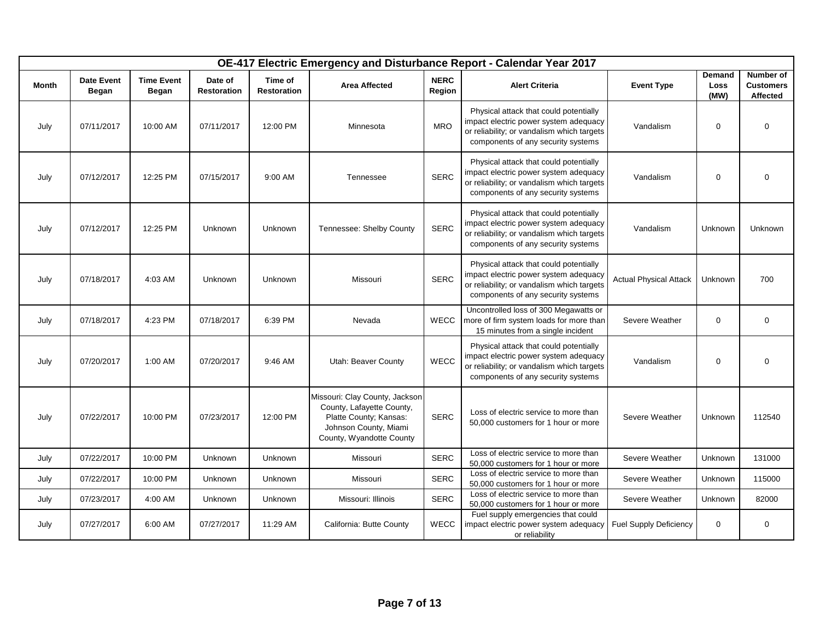|              | OE-417 Electric Emergency and Disturbance Report - Calendar Year 2017 |                            |                               |                               |                                                                                                                                            |                       |                                                                                                                                                                     |                               |                        |                                           |  |  |  |
|--------------|-----------------------------------------------------------------------|----------------------------|-------------------------------|-------------------------------|--------------------------------------------------------------------------------------------------------------------------------------------|-----------------------|---------------------------------------------------------------------------------------------------------------------------------------------------------------------|-------------------------------|------------------------|-------------------------------------------|--|--|--|
| <b>Month</b> | <b>Date Event</b><br>Began                                            | <b>Time Event</b><br>Began | Date of<br><b>Restoration</b> | Time of<br><b>Restoration</b> | <b>Area Affected</b>                                                                                                                       | <b>NERC</b><br>Region | <b>Alert Criteria</b>                                                                                                                                               | <b>Event Type</b>             | Demand<br>Loss<br>(MW) | Number of<br><b>Customers</b><br>Affected |  |  |  |
| July         | 07/11/2017                                                            | 10:00 AM                   | 07/11/2017                    | 12:00 PM                      | Minnesota                                                                                                                                  | <b>MRO</b>            | Physical attack that could potentially<br>impact electric power system adequacy<br>or reliability; or vandalism which targets<br>components of any security systems | Vandalism                     | $\mathbf 0$            | 0                                         |  |  |  |
| July         | 07/12/2017                                                            | 12:25 PM                   | 07/15/2017                    | 9:00 AM                       | Tennessee                                                                                                                                  | <b>SERC</b>           | Physical attack that could potentially<br>impact electric power system adequacy<br>or reliability; or vandalism which targets<br>components of any security systems | Vandalism                     | $\mathbf 0$            | 0                                         |  |  |  |
| July         | 07/12/2017                                                            | 12:25 PM                   | Unknown                       | Unknown                       | Tennessee: Shelby County                                                                                                                   | <b>SERC</b>           | Physical attack that could potentially<br>impact electric power system adequacy<br>or reliability; or vandalism which targets<br>components of any security systems | Vandalism                     | Unknown                | Unknown                                   |  |  |  |
| July         | 07/18/2017                                                            | 4:03 AM                    | Unknown                       | Unknown                       | Missouri                                                                                                                                   | <b>SERC</b>           | Physical attack that could potentially<br>impact electric power system adequacy<br>or reliability; or vandalism which targets<br>components of any security systems | <b>Actual Physical Attack</b> | Unknown                | 700                                       |  |  |  |
| July         | 07/18/2017                                                            | 4:23 PM                    | 07/18/2017                    | 6:39 PM                       | Nevada                                                                                                                                     | <b>WECC</b>           | Uncontrolled loss of 300 Megawatts or<br>more of firm system loads for more than<br>15 minutes from a single incident                                               | Severe Weather                | 0                      | 0                                         |  |  |  |
| July         | 07/20/2017                                                            | 1:00 AM                    | 07/20/2017                    | 9:46 AM                       | Utah: Beaver County                                                                                                                        | <b>WECC</b>           | Physical attack that could potentially<br>impact electric power system adequacy<br>or reliability; or vandalism which targets<br>components of any security systems | Vandalism                     | $\mathbf 0$            | 0                                         |  |  |  |
| July         | 07/22/2017                                                            | 10:00 PM                   | 07/23/2017                    | 12:00 PM                      | Missouri: Clay County, Jackson<br>County, Lafayette County,<br>Platte County; Kansas:<br>Johnson County, Miami<br>County, Wyandotte County | <b>SERC</b>           | Loss of electric service to more than<br>50,000 customers for 1 hour or more                                                                                        | Severe Weather                | Unknown                | 112540                                    |  |  |  |
| July         | 07/22/2017                                                            | 10:00 PM                   | Unknown                       | Unknown                       | Missouri                                                                                                                                   | <b>SERC</b>           | Loss of electric service to more than<br>50,000 customers for 1 hour or more                                                                                        | Severe Weather                | Unknown                | 131000                                    |  |  |  |
| July         | 07/22/2017                                                            | 10:00 PM                   | Unknown                       | Unknown                       | Missouri                                                                                                                                   | <b>SERC</b>           | Loss of electric service to more than<br>50,000 customers for 1 hour or more                                                                                        | Severe Weather                | Unknown                | 115000                                    |  |  |  |
| July         | 07/23/2017                                                            | 4:00 AM                    | Unknown                       | Unknown                       | Missouri: Illinois                                                                                                                         | <b>SERC</b>           | Loss of electric service to more than<br>50,000 customers for 1 hour or more                                                                                        | Severe Weather                | Unknown                | 82000                                     |  |  |  |
| July         | 07/27/2017                                                            | 6:00 AM                    | 07/27/2017                    | 11:29 AM                      | California: Butte County                                                                                                                   | <b>WECC</b>           | Fuel supply emergencies that could<br>impact electric power system adequacy<br>or reliability                                                                       | <b>Fuel Supply Deficiency</b> | 0                      | 0                                         |  |  |  |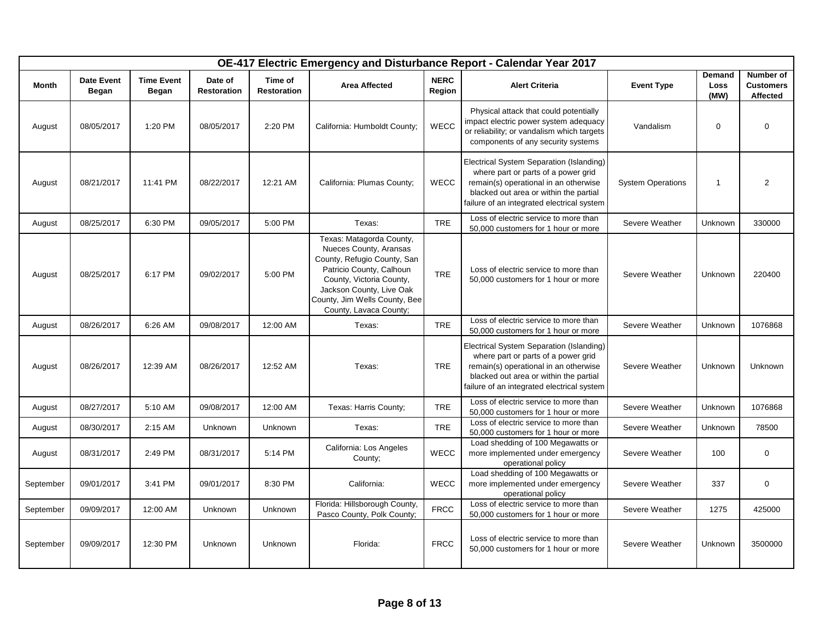|           |                            |                            |                               |                               |                                                                                                                                                                                                                                  |                       | OE-417 Electric Emergency and Disturbance Report - Calendar Year 2017                                                                                                                                            |                          |                               |                                           |
|-----------|----------------------------|----------------------------|-------------------------------|-------------------------------|----------------------------------------------------------------------------------------------------------------------------------------------------------------------------------------------------------------------------------|-----------------------|------------------------------------------------------------------------------------------------------------------------------------------------------------------------------------------------------------------|--------------------------|-------------------------------|-------------------------------------------|
| Month     | <b>Date Event</b><br>Began | <b>Time Event</b><br>Began | Date of<br><b>Restoration</b> | Time of<br><b>Restoration</b> | <b>Area Affected</b>                                                                                                                                                                                                             | <b>NERC</b><br>Region | <b>Alert Criteria</b>                                                                                                                                                                                            | <b>Event Type</b>        | <b>Demand</b><br>Loss<br>(MW) | Number of<br><b>Customers</b><br>Affected |
| August    | 08/05/2017                 | 1:20 PM                    | 08/05/2017                    | 2:20 PM                       | California: Humboldt County;                                                                                                                                                                                                     | WECC                  | Physical attack that could potentially<br>impact electric power system adequacy<br>or reliability; or vandalism which targets<br>components of any security systems                                              | Vandalism                | $\mathbf 0$                   | $\mathbf 0$                               |
| August    | 08/21/2017                 | 11:41 PM                   | 08/22/2017                    | 12:21 AM                      | California: Plumas County;                                                                                                                                                                                                       | <b>WECC</b>           | Electrical System Separation (Islanding)<br>where part or parts of a power grid<br>remain(s) operational in an otherwise<br>blacked out area or within the partial<br>failure of an integrated electrical system | <b>System Operations</b> | $\mathbf{1}$                  | $\overline{2}$                            |
| August    | 08/25/2017                 | 6:30 PM                    | 09/05/2017                    | 5:00 PM                       | Texas:                                                                                                                                                                                                                           | <b>TRE</b>            | Loss of electric service to more than<br>50,000 customers for 1 hour or more                                                                                                                                     | Severe Weather           | Unknown                       | 330000                                    |
| August    | 08/25/2017                 | 6:17 PM                    | 09/02/2017                    | 5:00 PM                       | Texas: Matagorda County,<br>Nueces County, Aransas<br>County, Refugio County, San<br>Patricio County, Calhoun<br>County, Victoria County,<br>Jackson County, Live Oak<br>County, Jim Wells County, Bee<br>County, Lavaca County; | <b>TRE</b>            | Loss of electric service to more than<br>50,000 customers for 1 hour or more                                                                                                                                     | Severe Weather           | Unknown                       | 220400                                    |
| August    | 08/26/2017                 | 6:26 AM                    | 09/08/2017                    | 12:00 AM                      | Texas:                                                                                                                                                                                                                           | <b>TRE</b>            | Loss of electric service to more than<br>50,000 customers for 1 hour or more                                                                                                                                     | Severe Weather           | Unknown                       | 1076868                                   |
| August    | 08/26/2017                 | 12:39 AM                   | 08/26/2017                    | 12:52 AM                      | Texas:                                                                                                                                                                                                                           | <b>TRE</b>            | Electrical System Separation (Islanding)<br>where part or parts of a power grid<br>remain(s) operational in an otherwise<br>blacked out area or within the partial<br>failure of an integrated electrical system | Severe Weather           | Unknown                       | Unknown                                   |
| August    | 08/27/2017                 | 5:10 AM                    | 09/08/2017                    | 12:00 AM                      | Texas: Harris County;                                                                                                                                                                                                            | <b>TRE</b>            | Loss of electric service to more than<br>50,000 customers for 1 hour or more                                                                                                                                     | Severe Weather           | Unknown                       | 1076868                                   |
| August    | 08/30/2017                 | 2:15 AM                    | Unknown                       | Unknown                       | Texas:                                                                                                                                                                                                                           | <b>TRE</b>            | Loss of electric service to more than<br>50,000 customers for 1 hour or more                                                                                                                                     | Severe Weather           | Unknown                       | 78500                                     |
| August    | 08/31/2017                 | 2:49 PM                    | 08/31/2017                    | 5:14 PM                       | California: Los Angeles<br>County:                                                                                                                                                                                               | <b>WECC</b>           | Load shedding of 100 Megawatts or<br>more implemented under emergency<br>operational policy                                                                                                                      | Severe Weather           | 100                           | $\mathbf 0$                               |
| September | 09/01/2017                 | 3:41 PM                    | 09/01/2017                    | 8:30 PM                       | California:                                                                                                                                                                                                                      | WECC                  | Load shedding of 100 Megawatts or<br>more implemented under emergency<br>operational policy                                                                                                                      | Severe Weather           | 337                           | $\mathbf 0$                               |
| September | 09/09/2017                 | 12:00 AM                   | Unknown                       | Unknown                       | Florida: Hillsborough County,<br>Pasco County, Polk County;                                                                                                                                                                      | <b>FRCC</b>           | Loss of electric service to more than<br>50,000 customers for 1 hour or more                                                                                                                                     | Severe Weather           | 1275                          | 425000                                    |
| September | 09/09/2017                 | 12:30 PM                   | Unknown                       | <b>Unknown</b>                | Florida:                                                                                                                                                                                                                         | <b>FRCC</b>           | Loss of electric service to more than<br>50,000 customers for 1 hour or more                                                                                                                                     | Severe Weather           | Unknown                       | 3500000                                   |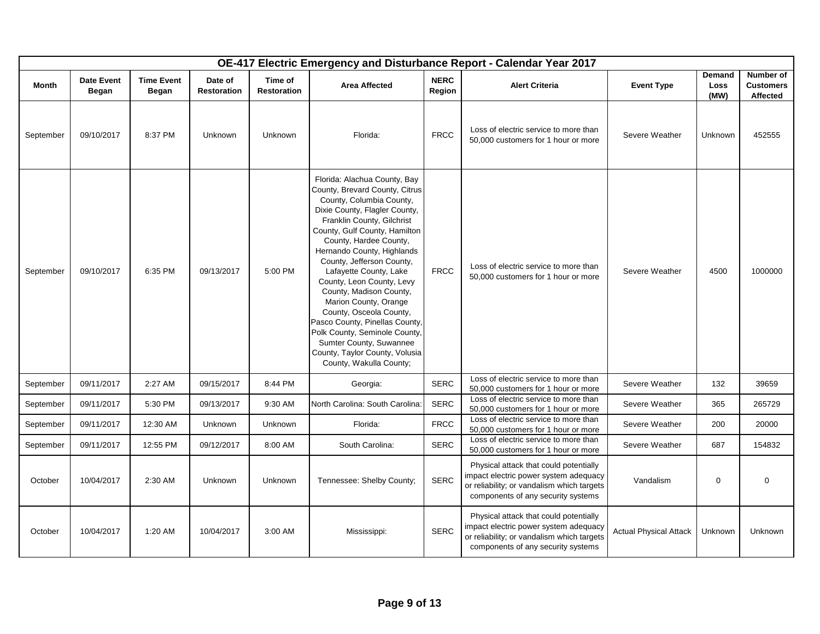|              |                            |                            |                        |                               |                                                                                                                                                                                                                                                                                                                                                                                                                                                                                                                                                                                  |                       | OE-417 Electric Emergency and Disturbance Report - Calendar Year 2017                                                                                               |                               |                        |                                           |
|--------------|----------------------------|----------------------------|------------------------|-------------------------------|----------------------------------------------------------------------------------------------------------------------------------------------------------------------------------------------------------------------------------------------------------------------------------------------------------------------------------------------------------------------------------------------------------------------------------------------------------------------------------------------------------------------------------------------------------------------------------|-----------------------|---------------------------------------------------------------------------------------------------------------------------------------------------------------------|-------------------------------|------------------------|-------------------------------------------|
| <b>Month</b> | <b>Date Event</b><br>Began | <b>Time Event</b><br>Began | Date of<br>Restoration | Time of<br><b>Restoration</b> | <b>Area Affected</b>                                                                                                                                                                                                                                                                                                                                                                                                                                                                                                                                                             | <b>NERC</b><br>Region | <b>Alert Criteria</b>                                                                                                                                               | <b>Event Type</b>             | Demand<br>Loss<br>(MW) | Number of<br><b>Customers</b><br>Affected |
| September    | 09/10/2017                 | 8:37 PM                    | Unknown                | Unknown                       | Florida:                                                                                                                                                                                                                                                                                                                                                                                                                                                                                                                                                                         | <b>FRCC</b>           | Loss of electric service to more than<br>50,000 customers for 1 hour or more                                                                                        | Severe Weather                | Unknown                | 452555                                    |
| September    | 09/10/2017                 | 6:35 PM                    | 09/13/2017             | 5:00 PM                       | Florida: Alachua County, Bay<br>County, Brevard County, Citrus<br>County, Columbia County,<br>Dixie County, Flagler County,<br>Franklin County, Gilchrist<br>County, Gulf County, Hamilton<br>County, Hardee County,<br>Hernando County, Highlands<br>County, Jefferson County,<br>Lafayette County, Lake<br>County, Leon County, Levy<br>County, Madison County,<br>Marion County, Orange<br>County, Osceola County,<br>Pasco County, Pinellas County,<br>Polk County, Seminole County,<br>Sumter County, Suwannee<br>County, Taylor County, Volusia<br>County, Wakulla County; | <b>FRCC</b>           | Loss of electric service to more than<br>50,000 customers for 1 hour or more                                                                                        | Severe Weather                | 4500                   | 1000000                                   |
| September    | 09/11/2017                 | 2:27 AM                    | 09/15/2017             | 8:44 PM                       | Georgia:                                                                                                                                                                                                                                                                                                                                                                                                                                                                                                                                                                         | <b>SERC</b>           | Loss of electric service to more than<br>50,000 customers for 1 hour or more                                                                                        | Severe Weather                | 132                    | 39659                                     |
| September    | 09/11/2017                 | 5:30 PM                    | 09/13/2017             | 9:30 AM                       | North Carolina: South Carolina:                                                                                                                                                                                                                                                                                                                                                                                                                                                                                                                                                  | <b>SERC</b>           | Loss of electric service to more than<br>50,000 customers for 1 hour or more                                                                                        | Severe Weather                | 365                    | 265729                                    |
| September    | 09/11/2017                 | 12:30 AM                   | Unknown                | Unknown                       | Florida:                                                                                                                                                                                                                                                                                                                                                                                                                                                                                                                                                                         | <b>FRCC</b>           | Loss of electric service to more than<br>50,000 customers for 1 hour or more                                                                                        | Severe Weather                | 200                    | 20000                                     |
| September    | 09/11/2017                 | 12:55 PM                   | 09/12/2017             | 8:00 AM                       | South Carolina:                                                                                                                                                                                                                                                                                                                                                                                                                                                                                                                                                                  | <b>SERC</b>           | Loss of electric service to more than<br>50,000 customers for 1 hour or more                                                                                        | Severe Weather                | 687                    | 154832                                    |
| October      | 10/04/2017                 | 2:30 AM                    | Unknown                | Unknown                       | Tennessee: Shelby County;                                                                                                                                                                                                                                                                                                                                                                                                                                                                                                                                                        | <b>SERC</b>           | Physical attack that could potentially<br>impact electric power system adequacy<br>or reliability; or vandalism which targets<br>components of any security systems | Vandalism                     | $\mathbf 0$            | $\mathbf 0$                               |
| October      | 10/04/2017                 | 1:20 AM                    | 10/04/2017             | 3:00 AM                       | Mississippi:                                                                                                                                                                                                                                                                                                                                                                                                                                                                                                                                                                     | <b>SERC</b>           | Physical attack that could potentially<br>impact electric power system adequacy<br>or reliability; or vandalism which targets<br>components of any security systems | <b>Actual Physical Attack</b> | Unknown                | Unknown                                   |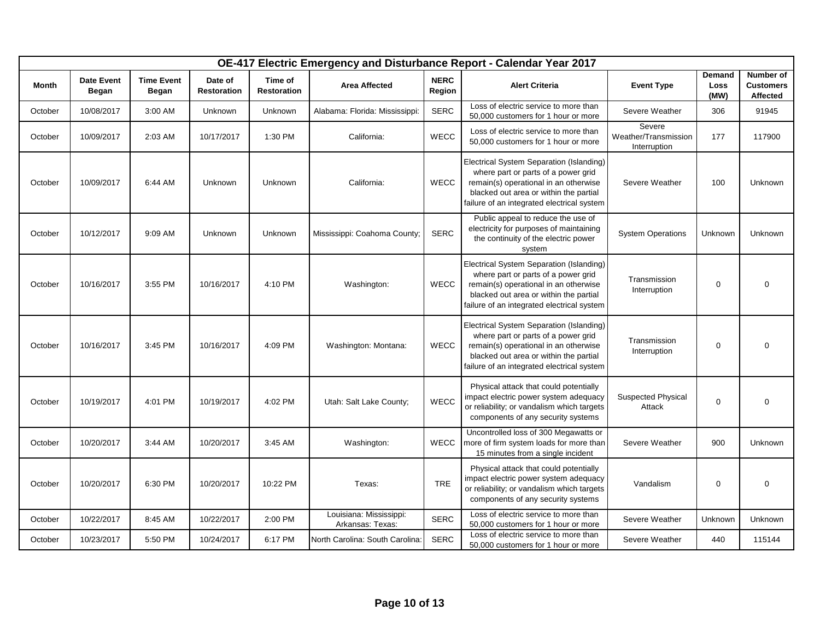|         |                            |                            |                               |                               |                                             |                       | OE-417 Electric Emergency and Disturbance Report - Calendar Year 2017                                                                                                                                            |                                                |                               |                                           |
|---------|----------------------------|----------------------------|-------------------------------|-------------------------------|---------------------------------------------|-----------------------|------------------------------------------------------------------------------------------------------------------------------------------------------------------------------------------------------------------|------------------------------------------------|-------------------------------|-------------------------------------------|
| Month   | <b>Date Event</b><br>Began | <b>Time Event</b><br>Began | Date of<br><b>Restoration</b> | Time of<br><b>Restoration</b> | <b>Area Affected</b>                        | <b>NERC</b><br>Region | <b>Alert Criteria</b>                                                                                                                                                                                            | <b>Event Type</b>                              | <b>Demand</b><br>Loss<br>(MW) | Number of<br><b>Customers</b><br>Affected |
| October | 10/08/2017                 | 3:00 AM                    | Unknown                       | Unknown                       | Alabama: Florida: Mississippi:              | <b>SERC</b>           | Loss of electric service to more than<br>50,000 customers for 1 hour or more                                                                                                                                     | Severe Weather                                 | 306                           | 91945                                     |
| October | 10/09/2017                 | 2:03 AM                    | 10/17/2017                    | 1:30 PM                       | California:                                 | <b>WECC</b>           | Loss of electric service to more than<br>50,000 customers for 1 hour or more                                                                                                                                     | Severe<br>Weather/Transmission<br>Interruption | 177                           | 117900                                    |
| October | 10/09/2017                 | 6:44 AM                    | Unknown                       | Unknown                       | California:                                 | <b>WECC</b>           | Electrical System Separation (Islanding)<br>where part or parts of a power grid<br>remain(s) operational in an otherwise<br>blacked out area or within the partial<br>failure of an integrated electrical system | Severe Weather                                 | 100                           | Unknown                                   |
| October | 10/12/2017                 | 9:09 AM                    | Unknown                       | Unknown                       | Mississippi: Coahoma County;                | <b>SERC</b>           | Public appeal to reduce the use of<br>electricity for purposes of maintaining<br>the continuity of the electric power<br>system                                                                                  | <b>System Operations</b>                       | Unknown                       | Unknown                                   |
| October | 10/16/2017                 | 3:55 PM                    | 10/16/2017                    | 4:10 PM                       | Washington:                                 | <b>WECC</b>           | Electrical System Separation (Islanding)<br>where part or parts of a power grid<br>remain(s) operational in an otherwise<br>blacked out area or within the partial<br>failure of an integrated electrical system | Transmission<br>Interruption                   | 0                             | $\mathbf 0$                               |
| October | 10/16/2017                 | 3:45 PM                    | 10/16/2017                    | 4:09 PM                       | Washington: Montana:                        | <b>WECC</b>           | Electrical System Separation (Islanding)<br>where part or parts of a power grid<br>remain(s) operational in an otherwise<br>blacked out area or within the partial<br>failure of an integrated electrical system | Transmission<br>Interruption                   | 0                             | $\mathbf 0$                               |
| October | 10/19/2017                 | 4:01 PM                    | 10/19/2017                    | 4:02 PM                       | Utah: Salt Lake County;                     | <b>WECC</b>           | Physical attack that could potentially<br>impact electric power system adequacy<br>or reliability; or vandalism which targets<br>components of any security systems                                              | <b>Suspected Physical</b><br>Attack            | $\mathbf 0$                   | $\mathbf 0$                               |
| October | 10/20/2017                 | 3:44 AM                    | 10/20/2017                    | 3:45 AM                       | Washington:                                 | <b>WECC</b>           | Uncontrolled loss of 300 Megawatts or<br>more of firm system loads for more than<br>15 minutes from a single incident                                                                                            | Severe Weather                                 | 900                           | Unknown                                   |
| October | 10/20/2017                 | 6:30 PM                    | 10/20/2017                    | 10:22 PM                      | Texas:                                      | <b>TRE</b>            | Physical attack that could potentially<br>impact electric power system adequacy<br>or reliability; or vandalism which targets<br>components of any security systems                                              | Vandalism                                      | $\mathbf 0$                   | $\mathbf 0$                               |
| October | 10/22/2017                 | 8:45 AM                    | 10/22/2017                    | 2:00 PM                       | Louisiana: Mississippi:<br>Arkansas: Texas: | <b>SERC</b>           | Loss of electric service to more than<br>50,000 customers for 1 hour or more                                                                                                                                     | Severe Weather                                 | Unknown                       | Unknown                                   |
| October | 10/23/2017                 | 5:50 PM                    | 10/24/2017                    | 6:17 PM                       | North Carolina: South Carolina:             | <b>SERC</b>           | Loss of electric service to more than<br>50,000 customers for 1 hour or more                                                                                                                                     | Severe Weather                                 | 440                           | 115144                                    |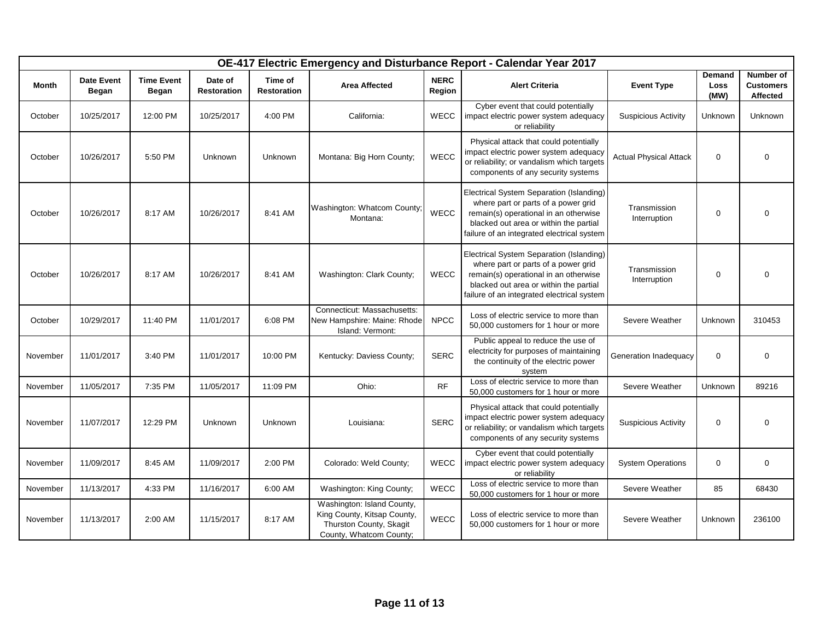|          | OE-417 Electric Emergency and Disturbance Report - Calendar Year 2017 |                                   |                               |                               |                                                                                                                 |                       |                                                                                                                                                                                                                  |                               |                               |                                           |  |
|----------|-----------------------------------------------------------------------|-----------------------------------|-------------------------------|-------------------------------|-----------------------------------------------------------------------------------------------------------------|-----------------------|------------------------------------------------------------------------------------------------------------------------------------------------------------------------------------------------------------------|-------------------------------|-------------------------------|-------------------------------------------|--|
| Month    | <b>Date Event</b><br>Began                                            | <b>Time Event</b><br><b>Began</b> | Date of<br><b>Restoration</b> | Time of<br><b>Restoration</b> | <b>Area Affected</b>                                                                                            | <b>NERC</b><br>Region | <b>Alert Criteria</b>                                                                                                                                                                                            | <b>Event Type</b>             | <b>Demand</b><br>Loss<br>(MW) | Number of<br><b>Customers</b><br>Affected |  |
| October  | 10/25/2017                                                            | 12:00 PM                          | 10/25/2017                    | 4:00 PM                       | California:                                                                                                     | WECC                  | Cyber event that could potentially<br>impact electric power system adequacy<br>or reliability                                                                                                                    | <b>Suspicious Activity</b>    | Unknown                       | Unknown                                   |  |
| October  | 10/26/2017                                                            | 5:50 PM                           | Unknown                       | Unknown                       | Montana: Big Horn County;                                                                                       | WECC                  | Physical attack that could potentially<br>impact electric power system adequacy<br>or reliability; or vandalism which targets<br>components of any security systems                                              | <b>Actual Physical Attack</b> | $\mathbf 0$                   | 0                                         |  |
| October  | 10/26/2017                                                            | 8:17 AM                           | 10/26/2017                    | 8:41 AM                       | Washington: Whatcom County;<br>Montana:                                                                         | WECC                  | Electrical System Separation (Islanding)<br>where part or parts of a power grid<br>remain(s) operational in an otherwise<br>blacked out area or within the partial<br>failure of an integrated electrical system | Transmission<br>Interruption  | $\mathbf 0$                   | $\mathbf 0$                               |  |
| October  | 10/26/2017                                                            | 8:17 AM                           | 10/26/2017                    | 8:41 AM                       | Washington: Clark County;                                                                                       | <b>WECC</b>           | Electrical System Separation (Islanding)<br>where part or parts of a power grid<br>remain(s) operational in an otherwise<br>blacked out area or within the partial<br>failure of an integrated electrical system | Transmission<br>Interruption  | $\mathbf 0$                   | $\mathbf 0$                               |  |
| October  | 10/29/2017                                                            | 11:40 PM                          | 11/01/2017                    | 6:08 PM                       | Connecticut: Massachusetts:<br>New Hampshire: Maine: Rhode<br>Island: Vermont:                                  | <b>NPCC</b>           | Loss of electric service to more than<br>50,000 customers for 1 hour or more                                                                                                                                     | Severe Weather                | Unknown                       | 310453                                    |  |
| November | 11/01/2017                                                            | 3:40 PM                           | 11/01/2017                    | 10:00 PM                      | Kentucky: Daviess County;                                                                                       | <b>SERC</b>           | Public appeal to reduce the use of<br>electricity for purposes of maintaining<br>the continuity of the electric power<br>system                                                                                  | Generation Inadequacy         | $\mathbf 0$                   | 0                                         |  |
| November | 11/05/2017                                                            | 7:35 PM                           | 11/05/2017                    | 11:09 PM                      | Ohio:                                                                                                           | <b>RF</b>             | Loss of electric service to more than<br>50,000 customers for 1 hour or more                                                                                                                                     | Severe Weather                | Unknown                       | 89216                                     |  |
| November | 11/07/2017                                                            | 12:29 PM                          | Unknown                       | Unknown                       | Louisiana:                                                                                                      | <b>SERC</b>           | Physical attack that could potentially<br>impact electric power system adequacy<br>or reliability; or vandalism which targets<br>components of any security systems                                              | <b>Suspicious Activity</b>    | $\boldsymbol{0}$              | 0                                         |  |
| November | 11/09/2017                                                            | 8:45 AM                           | 11/09/2017                    | 2:00 PM                       | Colorado: Weld County;                                                                                          | <b>WECC</b>           | Cyber event that could potentially<br>impact electric power system adequacy<br>or reliability                                                                                                                    | <b>System Operations</b>      | $\mathbf 0$                   | 0                                         |  |
| November | 11/13/2017                                                            | 4:33 PM                           | 11/16/2017                    | 6:00 AM                       | Washington: King County;                                                                                        | WECC                  | Loss of electric service to more than<br>50,000 customers for 1 hour or more                                                                                                                                     | Severe Weather                | 85                            | 68430                                     |  |
| November | 11/13/2017                                                            | 2:00 AM                           | 11/15/2017                    | 8:17 AM                       | Washington: Island County,<br>King County, Kitsap County,<br>Thurston County, Skagit<br>County, Whatcom County; | WECC                  | Loss of electric service to more than<br>50,000 customers for 1 hour or more                                                                                                                                     | Severe Weather                | Unknown                       | 236100                                    |  |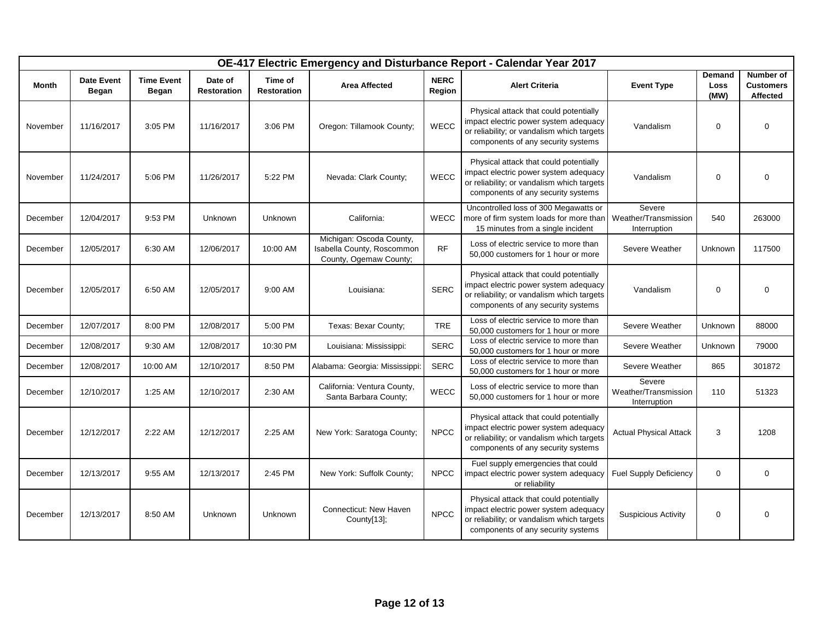|              |                                   |                                   |                               |                               |                                                                                  |                       | OE-417 Electric Emergency and Disturbance Report - Calendar Year 2017                                                                                               |                                                |                                      |                                           |
|--------------|-----------------------------------|-----------------------------------|-------------------------------|-------------------------------|----------------------------------------------------------------------------------|-----------------------|---------------------------------------------------------------------------------------------------------------------------------------------------------------------|------------------------------------------------|--------------------------------------|-------------------------------------------|
| <b>Month</b> | <b>Date Event</b><br><b>Began</b> | <b>Time Event</b><br><b>Began</b> | Date of<br><b>Restoration</b> | Time of<br><b>Restoration</b> | <b>Area Affected</b>                                                             | <b>NERC</b><br>Region | <b>Alert Criteria</b>                                                                                                                                               | <b>Event Type</b>                              | <b>Demand</b><br><b>Loss</b><br>(MW) | Number of<br><b>Customers</b><br>Affected |
| November     | 11/16/2017                        | 3:05 PM                           | 11/16/2017                    | 3:06 PM                       | Oregon: Tillamook County;                                                        | WECC                  | Physical attack that could potentially<br>impact electric power system adequacy<br>or reliability; or vandalism which targets<br>components of any security systems | Vandalism                                      | $\mathbf 0$                          | $\Omega$                                  |
| November     | 11/24/2017                        | 5:06 PM                           | 11/26/2017                    | 5:22 PM                       | Nevada: Clark County;                                                            | <b>WECC</b>           | Physical attack that could potentially<br>impact electric power system adequacy<br>or reliability; or vandalism which targets<br>components of any security systems | Vandalism                                      | $\mathbf 0$                          | $\mathbf 0$                               |
| December     | 12/04/2017                        | 9:53 PM                           | Unknown                       | <b>Unknown</b>                | California:                                                                      | <b>WECC</b>           | Uncontrolled loss of 300 Megawatts or<br>more of firm system loads for more than<br>15 minutes from a single incident                                               | Severe<br>Weather/Transmission<br>Interruption | 540                                  | 263000                                    |
| December     | 12/05/2017                        | 6:30 AM                           | 12/06/2017                    | 10:00 AM                      | Michigan: Oscoda County,<br>Isabella County, Roscommon<br>County, Ogemaw County; | <b>RF</b>             | Loss of electric service to more than<br>50,000 customers for 1 hour or more                                                                                        | Severe Weather                                 | Unknown                              | 117500                                    |
| December     | 12/05/2017                        | 6:50 AM                           | 12/05/2017                    | 9:00 AM                       | Louisiana:                                                                       | <b>SERC</b>           | Physical attack that could potentially<br>impact electric power system adequacy<br>or reliability; or vandalism which targets<br>components of any security systems | Vandalism                                      | 0                                    | $\Omega$                                  |
| December     | 12/07/2017                        | 8:00 PM                           | 12/08/2017                    | 5:00 PM                       | Texas: Bexar County;                                                             | <b>TRE</b>            | Loss of electric service to more than<br>50,000 customers for 1 hour or more                                                                                        | Severe Weather                                 | Unknown                              | 88000                                     |
| December     | 12/08/2017                        | 9:30 AM                           | 12/08/2017                    | 10:30 PM                      | Louisiana: Mississippi:                                                          | <b>SERC</b>           | Loss of electric service to more than<br>50,000 customers for 1 hour or more                                                                                        | Severe Weather                                 | Unknown                              | 79000                                     |
| December     | 12/08/2017                        | 10:00 AM                          | 12/10/2017                    | 8:50 PM                       | Alabama: Georgia: Mississippi:                                                   | <b>SERC</b>           | Loss of electric service to more than<br>50,000 customers for 1 hour or more                                                                                        | Severe Weather                                 | 865                                  | 301872                                    |
| December     | 12/10/2017                        | 1:25 AM                           | 12/10/2017                    | 2:30 AM                       | California: Ventura County,<br>Santa Barbara County;                             | WECC                  | Loss of electric service to more than<br>50,000 customers for 1 hour or more                                                                                        | Severe<br>Weather/Transmission<br>Interruption | 110                                  | 51323                                     |
| December     | 12/12/2017                        | 2:22 AM                           | 12/12/2017                    | 2:25 AM                       | New York: Saratoga County;                                                       | <b>NPCC</b>           | Physical attack that could potentially<br>impact electric power system adequacy<br>or reliability; or vandalism which targets<br>components of any security systems | <b>Actual Physical Attack</b>                  | 3                                    | 1208                                      |
| December     | 12/13/2017                        | 9:55 AM                           | 12/13/2017                    | 2:45 PM                       | New York: Suffolk County;                                                        | <b>NPCC</b>           | Fuel supply emergencies that could<br>impact electric power system adequacy<br>or reliability                                                                       | <b>Fuel Supply Deficiency</b>                  | $\mathbf 0$                          | $\mathbf 0$                               |
| December     | 12/13/2017                        | 8:50 AM                           | Unknown                       | Unknown                       | Connecticut: New Haven<br>County[13];                                            | <b>NPCC</b>           | Physical attack that could potentially<br>impact electric power system adequacy<br>or reliability; or vandalism which targets<br>components of any security systems | <b>Suspicious Activity</b>                     | $\mathbf 0$                          | $\mathbf 0$                               |